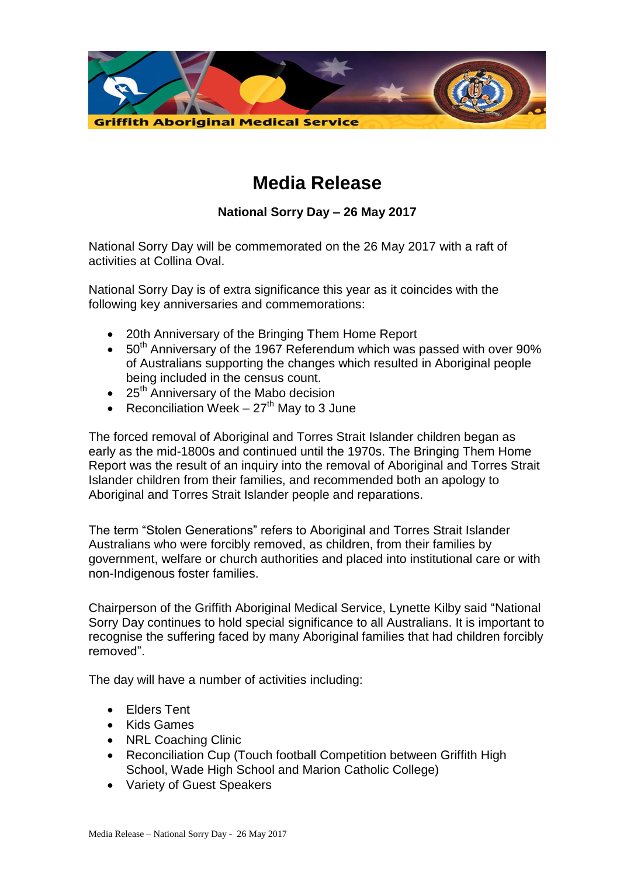

## **Media Release**

## **National Sorry Day – 26 May 2017**

National Sorry Day will be commemorated on the 26 May 2017 with a raft of activities at Collina Oval.

National Sorry Day is of extra significance this year as it coincides with the following key anniversaries and commemorations:

- 20th Anniversary of the Bringing Them Home Report
- $\bullet$  50<sup>th</sup> Anniversary of the 1967 Referendum which was passed with over 90% of Australians supporting the changes which resulted in Aboriginal people being included in the census count.
- $\bullet$  25<sup>th</sup> Anniversary of the Mabo decision
- Reconciliation Week  $-27<sup>th</sup>$  May to 3 June

The forced removal of Aboriginal and Torres Strait Islander children began as early as the mid-1800s and continued until the 1970s. The Bringing Them Home Report was the result of an inquiry into the removal of Aboriginal and Torres Strait Islander children from their families, and recommended both an apology to Aboriginal and Torres Strait Islander people and reparations.

The term "Stolen Generations" refers to Aboriginal and Torres Strait Islander Australians who were forcibly removed, as children, from their families by government, welfare or church authorities and placed into institutional care or with non-Indigenous foster families.

Chairperson of the Griffith Aboriginal Medical Service, Lynette Kilby said "National Sorry Day continues to hold special significance to all Australians. It is important to recognise the suffering faced by many Aboriginal families that had children forcibly removed".

The day will have a number of activities including:

- Elders Tent
- Kids Games
- NRL Coaching Clinic
- Reconciliation Cup (Touch football Competition between Griffith High School, Wade High School and Marion Catholic College)
- Variety of Guest Speakers